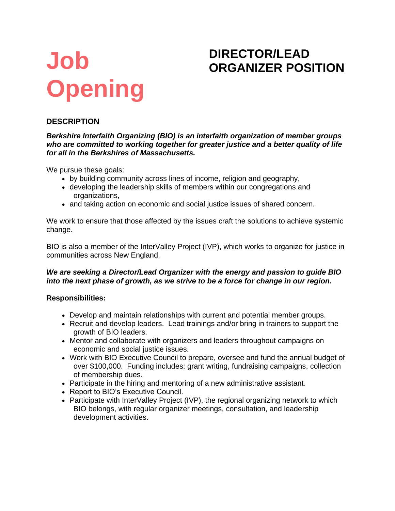# **Job Opening**

## **DIRECTOR/LEAD ORGANIZER POSITION**

### **DESCRIPTION**

*Berkshire Interfaith Organizing (BIO) is an interfaith organization of member groups who are committed to working together for greater justice and a better quality of life for all in the Berkshires of Massachusetts.*

We pursue these goals:

- by building community across lines of income, religion and geography,
- developing the leadership skills of members within our congregations and organizations,
- and taking action on economic and social justice issues of shared concern.

We work to ensure that those affected by the issues craft the solutions to achieve systemic change.

BIO is also a member of the InterValley Project (IVP), which works to organize for justice in communities across New England.

#### *We are seeking a Director/Lead Organizer with the energy and passion to guide BIO into the next phase of growth, as we strive to be a force for change in our region.*

#### **Responsibilities:**

- Develop and maintain relationships with current and potential member groups.
- Recruit and develop leaders. Lead trainings and/or bring in trainers to support the growth of BIO leaders.
- Mentor and collaborate with organizers and leaders throughout campaigns on economic and social justice issues.
- Work with BIO Executive Council to prepare, oversee and fund the annual budget of over \$100,000. Funding includes: grant writing, fundraising campaigns, collection of membership dues.
- Participate in the hiring and mentoring of a new administrative assistant.
- Report to BIO's Executive Council.
- Participate with InterValley Project (IVP), the regional organizing network to which BIO belongs, with regular organizer meetings, consultation, and leadership development activities.